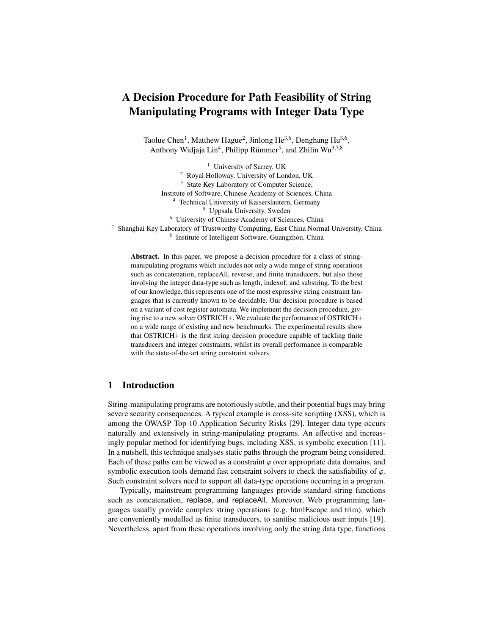# A Decision Procedure for Path Feasibility of String Manipulating Programs with Integer Data Type

Taolue Chen<sup>1</sup>, Matthew Hague<sup>2</sup>, Jinlong He<sup>3,6</sup>, Denghang Hu<sup>3,6</sup>, Anthony Widjaja Lin<sup>4</sup>, Philipp Rümmer<sup>5</sup>, and Zhilin Wu<sup>3,7,8</sup>

<sup>1</sup> University of Surrey, UK Royal Holloway, University of London, UK <sup>3</sup> State Key Laboratory of Computer Science, Institute of Software, Chinese Academy of Sciences, China Technical University of Kaiserslautern, Germany Uppsala University, Sweden University of Chinese Academy of Sciences, China Shanghai Key Laboratory of Trustworthy Computing, East China Normal University, China Institute of Intelligent Software, Guangzhou, China

Abstract. In this paper, we propose a decision procedure for a class of stringmanipulating programs which includes not only a wide range of string operations such as concatenation, replaceAll, reverse, and finite transducers, but also those involving the integer data-type such as length, indexof, and substring. To the best of our knowledge, this represents one of the most expressive string constraint languages that is currently known to be decidable. Our decision procedure is based on a variant of cost register automata. We implement the decision procedure, giving rise to a new solver OSTRICH+. We evaluate the performance of OSTRICH+ on a wide range of existing and new benchmarks. The experimental results show that OSTRICH+ is the first string decision procedure capable of tackling finite transducers and integer constraints, whilst its overall performance is comparable with the state-of-the-art string constraint solvers.

# 1 Introduction

String-manipulating programs are notoriously subtle, and their potential bugs may bring severe security consequences. A typical example is cross-site scripting (XSS), which is among the OWASP Top 10 Application Security Risks [29]. Integer data type occurs naturally and extensively in string-manipulating programs. An effective and increasingly popular method for identifying bugs, including XSS, is symbolic execution [11]. In a nutshell, this technique analyses static paths through the program being considered. Each of these paths can be viewed as a constraint  $\varphi$  over appropriate data domains, and symbolic execution tools demand fast constraint solvers to check the satisfiability of  $\varphi$ . Such constraint solvers need to support all data-type operations occurring in a program.

Typically, mainstream programming languages provide standard string functions such as concatenation, replace, and replaceAll. Moreover, Web programming languages usually provide complex string operations (e.g. htmlEscape and trim), which are conveniently modelled as finite transducers, to sanitise malicious user inputs [19]. Nevertheless, apart from these operations involving only the string data type, functions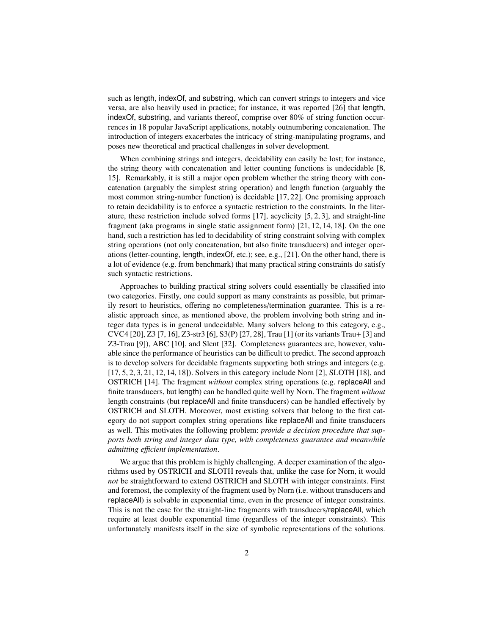such as length, indexOf, and substring, which can convert strings to integers and vice versa, are also heavily used in practice; for instance, it was reported [26] that length, indexOf, substring, and variants thereof, comprise over 80% of string function occurrences in 18 popular JavaScript applications, notably outnumbering concatenation. The introduction of integers exacerbates the intricacy of string-manipulating programs, and poses new theoretical and practical challenges in solver development.

When combining strings and integers, decidability can easily be lost; for instance, the string theory with concatenation and letter counting functions is undecidable [8, 15]. Remarkably, it is still a major open problem whether the string theory with concatenation (arguably the simplest string operation) and length function (arguably the most common string-number function) is decidable [17, 22]. One promising approach to retain decidability is to enforce a syntactic restriction to the constraints. In the literature, these restriction include solved forms [17], acyclicity [5, 2, 3], and straight-line fragment (aka programs in single static assignment form) [21, 12, 14, 18]. On the one hand, such a restriction has led to decidability of string constraint solving with complex string operations (not only concatenation, but also finite transducers) and integer operations (letter-counting, length, indexOf, etc.); see, e.g., [21]. On the other hand, there is a lot of evidence (e.g. from benchmark) that many practical string constraints do satisfy such syntactic restrictions.

Approaches to building practical string solvers could essentially be classified into two categories. Firstly, one could support as many constraints as possible, but primarily resort to heuristics, offering no completeness/termination guarantee. This is a realistic approach since, as mentioned above, the problem involving both string and integer data types is in general undecidable. Many solvers belong to this category, e.g., CVC4 [20], Z3 [7, 16], Z3-str3 [6], S3(P) [27, 28], Trau [1] (or its variants Trau+ [3] and Z3-Trau [9]), ABC [10], and Slent [32]. Completeness guarantees are, however, valuable since the performance of heuristics can be difficult to predict. The second approach is to develop solvers for decidable fragments supporting both strings and integers (e.g. [17, 5, 2, 3, 21, 12, 14, 18]). Solvers in this category include Norn [2], SLOTH [18], and OSTRICH [14]. The fragment *without* complex string operations (e.g. replaceAll and finite transducers, but length) can be handled quite well by Norn. The fragment *without* length constraints (but replaceAll and finite transducers) can be handled effectively by OSTRICH and SLOTH. Moreover, most existing solvers that belong to the first category do not support complex string operations like replaceAll and finite transducers as well. This motivates the following problem: *provide a decision procedure that supports both string and integer data type, with completeness guarantee and meanwhile admitting e*ffi*cient implementation*.

We argue that this problem is highly challenging. A deeper examination of the algorithms used by OSTRICH and SLOTH reveals that, unlike the case for Norn, it would *not* be straightforward to extend OSTRICH and SLOTH with integer constraints. First and foremost, the complexity of the fragment used by Norn (i.e. without transducers and replaceAll) is solvable in exponential time, even in the presence of integer constraints. This is not the case for the straight-line fragments with transducers/replaceAll, which require at least double exponential time (regardless of the integer constraints). This unfortunately manifests itself in the size of symbolic representations of the solutions.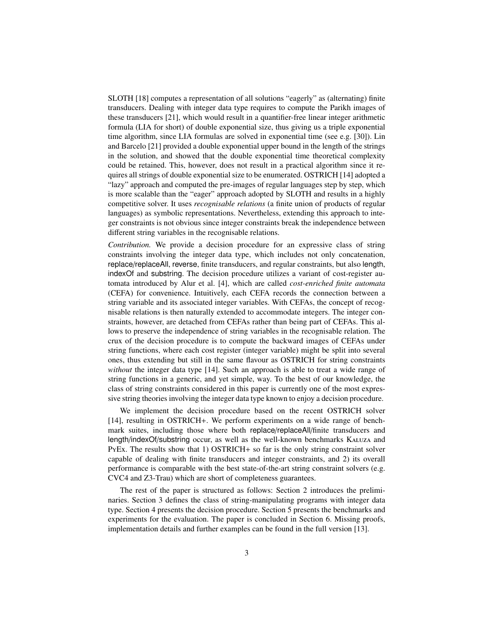SLOTH [18] computes a representation of all solutions "eagerly" as (alternating) finite transducers. Dealing with integer data type requires to compute the Parikh images of these transducers [21], which would result in a quantifier-free linear integer arithmetic formula (LIA for short) of double exponential size, thus giving us a triple exponential time algorithm, since LIA formulas are solved in exponential time (see e.g. [30]). Lin and Barcelo [21] provided a double exponential upper bound in the length of the strings in the solution, and showed that the double exponential time theoretical complexity could be retained. This, however, does not result in a practical algorithm since it requires all strings of double exponential size to be enumerated. OSTRICH [14] adopted a "lazy" approach and computed the pre-images of regular languages step by step, which is more scalable than the "eager" approach adopted by SLOTH and results in a highly competitive solver. It uses *recognisable relations* (a finite union of products of regular languages) as symbolic representations. Nevertheless, extending this approach to integer constraints is not obvious since integer constraints break the independence between different string variables in the recognisable relations.

*Contribution.* We provide a decision procedure for an expressive class of string constraints involving the integer data type, which includes not only concatenation, replace/replaceAll, reverse, finite transducers, and regular constraints, but also length, indexOf and substring. The decision procedure utilizes a variant of cost-register automata introduced by Alur et al. [4], which are called *cost-enriched finite automata* (CEFA) for convenience. Intuitively, each CEFA records the connection between a string variable and its associated integer variables. With CEFAs, the concept of recognisable relations is then naturally extended to accommodate integers. The integer constraints, however, are detached from CEFAs rather than being part of CEFAs. This allows to preserve the independence of string variables in the recognisable relation. The crux of the decision procedure is to compute the backward images of CEFAs under string functions, where each cost register (integer variable) might be split into several ones, thus extending but still in the same flavour as OSTRICH for string constraints *without* the integer data type [14]. Such an approach is able to treat a wide range of string functions in a generic, and yet simple, way. To the best of our knowledge, the class of string constraints considered in this paper is currently one of the most expressive string theories involving the integer data type known to enjoy a decision procedure.

We implement the decision procedure based on the recent OSTRICH solver [14], resulting in OSTRICH+. We perform experiments on a wide range of benchmark suites, including those where both replace/replaceAll/finite transducers and length/indexOf/substring occur, as well as the well-known benchmarks Kaluza and PyEx. The results show that 1) OSTRICH+ so far is the only string constraint solver capable of dealing with finite transducers and integer constraints, and 2) its overall performance is comparable with the best state-of-the-art string constraint solvers (e.g. CVC4 and Z3-Trau) which are short of completeness guarantees.

The rest of the paper is structured as follows: Section 2 introduces the preliminaries. Section 3 defines the class of string-manipulating programs with integer data type. Section 4 presents the decision procedure. Section 5 presents the benchmarks and experiments for the evaluation. The paper is concluded in Section 6. Missing proofs, implementation details and further examples can be found in the full version [13].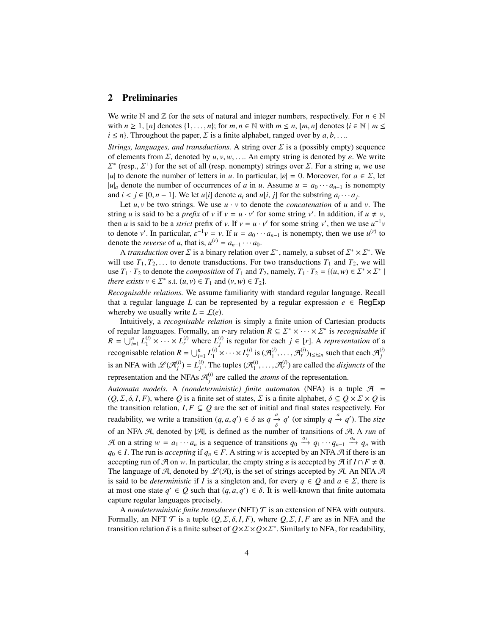# 2 Preliminaries

We write N and  $\mathbb Z$  for the sets of natural and integer numbers, respectively. For  $n \in \mathbb N$ with  $n \geq 1$ ,  $[n]$  denotes  $\{1, \ldots, n\}$ ; for  $m, n \in \mathbb{N}$  with  $m \leq n$ ,  $[m, n]$  denotes  $\{i \in \mathbb{N} \mid m \leq n\}$  $i \leq n$ . Throughout the paper,  $\Sigma$  is a finite alphabet, ranged over by  $a, b, \ldots$ 

*Strings, languages, and transductions.* A string over  $\Sigma$  is a (possibly empty) sequence of elements from  $\Sigma$ , denoted by  $u, v, w, \ldots$ . An empty string is denoted by  $\varepsilon$ . We write |*u*| to denote the number of letters in *u*. In particular,  $|\varepsilon| = 0$ . Moreover, for  $a \in \Sigma$ , let <sup>\*</sup> (resp.,  $\Sigma^+$ ) for the set of all (resp. nonempty) strings over  $\Sigma$ . For a string *u*, we use  $|u|_a$  denote the number of occurrences of *a* in *u*. Assume *u* =  $a_0 \cdots a_{n-1}$  is nonempty and  $i < j \in [0, n - 1]$ . We let  $u[i]$  denote  $a_i$  and  $u[i, j]$  for the substring  $a_i \cdots a_j$ .<br>Let  $u, v$  be two strings. We use  $u, y$  to denote the concatenation of  $u$  and

Let  $u, v$  be two strings. We use  $u \cdot v$  to denote the *concatenation* of  $u$  and  $v$ . The string *u* is said to be a *prefix* of *v* if  $v = u \cdot v'$  for some string *v'*. In addition, if  $u \neq v$ , then *u* is said to be a *strict* prefix of *v*. If  $v = u \cdot v'$  for some string *v*', then we use  $u^{-1}v$ to denote *v'*. In particular,  $\varepsilon^{-1}v = v$ . If  $u = a_0 \cdots a_{n-1}$  is nonempty, then we use  $u^{(r)}$  to denote the *reverse* of *u* that is  $u^{(r)} = a_1 \cdots a_0$ denote the *reverse* of *u*, that is,  $u^{(r)} = a_{n-1} \cdots a_0$ .

A *transduction* over  $\Sigma$  is a binary relation over  $\Sigma^*$ , namely, a subset of  $\Sigma^* \times \Sigma^*$ . We will will use  $T_1, T_2, \ldots$  to denote transductions. For two transductions  $T_1$  and  $T_2$ , we will use  $T_1 \cdot T_2$  to denote the *composition* of  $T_1$  and  $T_2$ , namely,  $T_1 \cdot T_2 = \{(u, w) \in \Sigma^* \times \Sigma^*$ <br>there exists  $v \in \Sigma^*$  s t.  $(u, v) \in T_2$  and  $(v, w) \in T_2$ | *there exists v*  $\in \Sigma^*$  *s.t.*  $(u, v) \in T_1$  and  $(v, w) \in T_2$ .

*Recognisable relations.* We assume familiarity with standard regular language. Recall that a regular language *L* can be represented by a regular expression  $e \in \text{RegExp}$ whereby we usually write  $L = \mathcal{L}(e)$ .

Intuitively, a *recognisable relation* is simply a finite union of Cartesian products of regular languages. Formally, an *r*-ary relation  $R \subseteq \Sigma$ <br>  $R = \bigcup_{i=1}^{n} L_1^{(i)} \times \cdots \times L_r^{(i)}$  where  $L_j^{(i)}$  is regular for each <sup>\*</sup>  $\times \cdots \times \Sigma^*$  is *recognisable* if<br>*i*  $\in$  [r] A *representation* of a  $L_1^{(i)} \times \cdots \times L_r^{(i)}$  where  $L_j^{(i)}$  is regular for each  $j \in [r]$ . A *representation* of a recognisable relation  $R = \bigcup_{i=1}^{n} L_1^{(i)}$  $L_1^{(i)} \times \cdots \times L_r^{(i)}$  is  $(\mathcal{A}_1^{(i)})$  $(\hat{H}_1^{(i)}, \ldots, \mathcal{A}_r^{(i)})_{1 \leq i \leq n}$  such that each  $\mathcal{A}_j^{(i)}$ is an NFA with  $\mathscr{L}(\mathcal{A}_{j}^{(i)}) = L_{j}^{(i)}$ . The tuples  $(\mathcal{A}_{1}^{(i)})$  $\mathcal{A}_1^{(i)}, \ldots, \mathcal{A}_r^{(i)}$  are called the *disjuncts* of the representation and the NFAs  $\mathcal{A}_j^{(i)}$  are called the *atoms* of the representation.

Automata models. A *(nondeterministic)* finite automaton (NFA) is a tuple  $\mathcal{H}$  =  $(Q, \Sigma, \delta, I, F)$ , where Q is a finite set of states,  $\Sigma$  is a finite alphabet,  $\delta \subseteq Q \times \Sigma \times Q$  is the transition relation,  $I, F \subseteq Q$  are the set of initial and final states respectively. For readability, we write a transition  $(q, a, q') \in \delta$  as  $q \stackrel{a}{\rightarrow} q'$  (or simply  $q \stackrel{a}{\rightarrow} q'$ ). The *size* of an NFA A, denoted by |A|, is defined as the number of transitions of A. A *run* of A on a string  $w = a_1 \cdots a_n$  is a sequence of transitions  $q_0 \stackrel{a_1}{\rightarrow} q_1 \cdots q_{n-1} \stackrel{a_n}{\rightarrow} q_n$  with *q*<sub>0</sub> ∈ *I*. The run is *accepting* if  $q_n$  ∈ *F*. A string *w* is accepted by an NFA  $\mathcal{A}$  if there is an accepting run of  $\mathcal A$  on *w*. In particular, the empty string  $\varepsilon$  is accepted by  $\mathcal A$  if  $I \cap F \neq \emptyset$ . The language of A, denoted by  $\mathcal{L}(A)$ , is the set of strings accepted by A. An NFA A is said to be *deterministic* if *I* is a singleton and, for every  $q \in Q$  and  $a \in \Sigma$ , there is at most one state  $q' \in Q$  such that  $(q, a, q') \in \delta$ . It is well-known that finite automata<br>capture requier languages precisely capture regular languages precisely.

A *nondeterministic finite transducer* (NFT)  $\mathcal T$  is an extension of NFA with outputs. Formally, an NFT  $\mathcal T$  is a tuple  $(Q, \Sigma, \delta, I, F)$ , where  $Q, \Sigma, I, F$  are as in NFA and the transition relation  $\delta$  is a finite subset of  $Q \times \Sigma \times Q \times \Sigma^*$ . Similarly to NFA, for readability,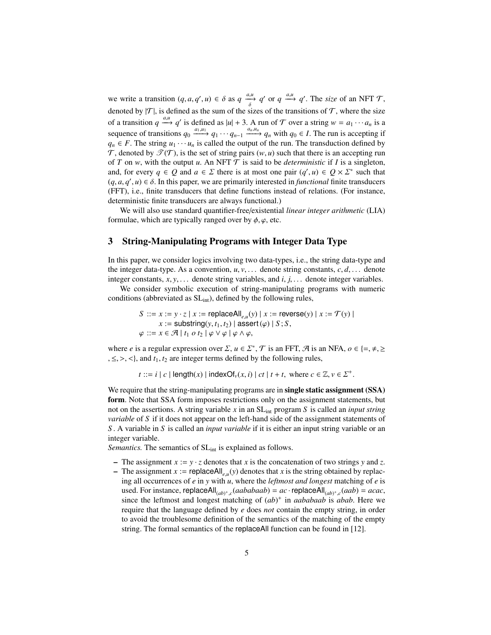we write a transition  $(q, a, q', u) \in \delta$  as  $q \xrightarrow{\alpha, u} q'$  or  $q \xrightarrow{\alpha, u} q'$ . The *size* of an NFT  $\mathcal{T}$ , denoted by  $|T|$ , is defined as the sum of the sizes of the transitions of T, where the size of a transition  $q \stackrel{a,u}{\longrightarrow} q'$  is defined as  $|u| + 3$ . A run of  $\mathcal T$  over a string  $w = a_1 \cdots a_n$  is a sequence of transitions  $q_0 \xrightarrow{a_1, u_1} q_1 \cdots q_{n-1} \xrightarrow{a_n, u_n} q_n$  with  $q_0 \in I$ . The run is accepting if  $q_n \in F$ . The string  $u_1 \cdots u_n$  is called the output of the run. The transduction defined by  $\mathcal{T}$ , denoted by  $\mathcal{T}(\mathcal{T})$ , is the set of string pairs  $(w, u)$  such that there is an accepting run of *T* on *w*, with the output *u*. An NFT  $T$  is said to be *deterministic* if *I* is a singleton, and, for every  $q \in Q$  and  $a \in \Sigma$  there is at most one pair  $(q', u) \in Q \times \Sigma^*$  such that  $(a, a, a', u) \in \mathcal{S}$ . In this paper, we are primarily interested in functional finite transducers  $(q, a, q', u) \in \delta$ . In this paper, we are primarily interested in *functional* finite transducers  $(FET)$ , i.e., finite transducers that define functions instead of relations. (For instance (FFT), i.e., finite transducers that define functions instead of relations. (For instance, deterministic finite transducers are always functional.)

We will also use standard quantifier-free/existential *linear integer arithmetic* (LIA) formulae, which are typically ranged over by  $\phi$ ,  $\varphi$ , etc.

# 3 String-Manipulating Programs with Integer Data Type

In this paper, we consider logics involving two data-types, i.e., the string data-type and the integer data-type. As a convention,  $u, v, \ldots$  denote string constants,  $c, d, \ldots$  denote integer constants, *<sup>x</sup>*, *<sup>y</sup>*, . . . denote string variables, and *<sup>i</sup>*, *<sup>j</sup>*, . . . denote integer variables.

We consider symbolic execution of string-manipulating programs with numeric conditions (abbreviated as  $SL<sub>int</sub>$ ), defined by the following rules,

> *S* ::= *x* := *y* · *z* | *x* := **replaceAll**<sub>*e,u*</sub>(*y*) | *x* := **reverse**(*y*) | *x* :=  $\mathcal{T}(y)$  | *x* := *c*) | *x* := *x*) | *x* := *x*) | *x* := *x*) | *x* := *x*) | *x* :*s* : *y*  $x :=$  substring( $y, t_1, t_2$ ) | assert ( $\varphi$ ) | *S* ; *S*,  $\varphi$  ::=  $x \in \mathcal{A}$  |  $t_1$  *o*  $t_2$  |  $\varphi \vee \varphi$  |  $\varphi \wedge \varphi$ ,

where *<sup>e</sup>* is a regular expression over Σ, *<sup>u</sup>* <sup>∈</sup> Σ ∗ , <sup>T</sup> is an FFT, <sup>A</sup> is an NFA, *<sup>o</sup>* ∈ {=, ,, <sup>≥</sup>  $, \leq, >, <$ }, and  $t_1, t_2$  are integer terms defined by the following rules,

*t* ::= *i* | *c* | length(*x*) | indexOf<sub>*v*</sub>(*x*, *i*) | *ct* | *t* + *t*, where  $c \in \mathbb{Z}, v \in \Sigma^+$ 

We require that the string-manipulating programs are in single static assignment (SSA) form. Note that SSA form imposes restrictions only on the assignment statements, but not on the assertions. A string variable  $x$  in an  $SL<sub>int</sub>$  program  $S$  is called an *input string variable* of *S* if it does not appear on the left-hand side of the assignment statements of *S* . A variable in *S* is called an *input variable* if it is either an input string variable or an integer variable.

*Semantics.* The semantics of SL<sub>int</sub> is explained as follows.

- The assignment  $x := y \cdot z$  denotes that  $x$  is the concatenation of two strings  $y$  and  $z$ .
- The assignment  $x := \text{replaceAll}_{e,u}(y)$  denotes that  $x$  is the string obtained by replac-<br>ing all occurrences of e.in *y* with *y* where the *leftmost and longest* matching of e.is ing all occurrences of *e* in *y* with *u*, where the *leftmost and longest* matching of *e* is used. For instance,  $\text{replaceAll}_{(ab)^+,c}(aababaab) = ac \cdot \text{replaceAll}_{(ab)^+,c}(aab) = acac$ , since the leftmost and longest matching of  $(ab)^+$  in *aababaab* is *abab*. Here we since the leftmost and longest matching of  $(ab)^+$  in *aababaab* is *abab*. Here we require that the language defined by *e* does *not* contain the empty string, in order to avoid the troublesome definition of the semantics of the matching of the empty string. The formal semantics of the replaceAll function can be found in [12].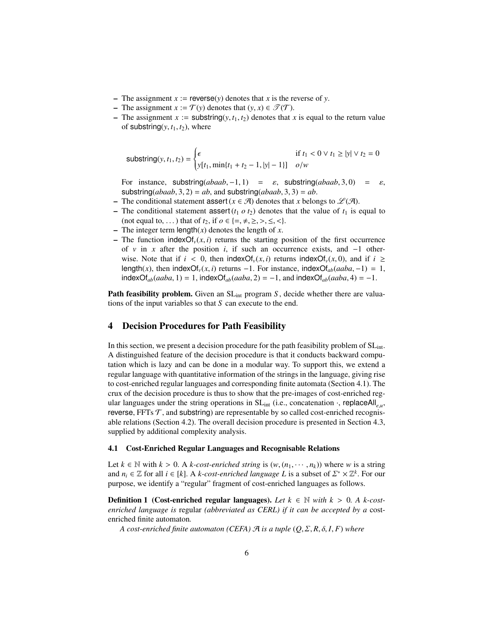- The assignment  $x := \text{reverse}(y)$  denotes that *x* is the reverse of *y*.
- The assignment  $x := \mathcal{T}(y)$  denotes that  $(y, x) \in \mathcal{T}(\mathcal{T})$ .
- The assignment  $x :=$  substring( $y, t_1, t_2$ ) denotes that  $x$  is equal to the return value of substring( $y, t_1, t_2$ ), where

substring(y, t<sub>1</sub>, t<sub>2</sub>) = 
$$
\begin{cases} \epsilon & \text{if } t_1 < 0 \vee t_1 \ge |y| \vee t_2 = 0 \\ y[t_1, \min\{t_1 + t_2 - 1, |y| - 1\}] & o/w \end{cases}
$$

For instance, substring( $abaab$ , -1, 1) =  $\varepsilon$ , substring( $abaab$ , 3, 0) =  $\varepsilon$ , substring( $abaab$ , 3, 2) =  $ab$ , and substring( $abaab$ , 3, 3) =  $ab$ .

- The conditional statement assert ( $x \in \mathcal{A}$ ) denotes that *x* belongs to  $\mathcal{L}(\mathcal{A})$ .
- The conditional statement assert  $(t_1 \circ t_2)$  denotes that the value of  $t_1$  is equal to (not equal to, ...) that of  $t_2$ , if  $o \in \{ =, \neq, \geq, >, \leq, < \}.$
- The integer term length( $x$ ) denotes the length of  $x$ .
- The function index $\mathsf{Of}_{\nu}(x, i)$  returns the starting position of the first occurrence of *v* in *x* after the position *i*, if such an occurrence exists, and −1 otherwise. Note that if  $i < 0$ , then indexOf<sub>*v*</sub>(*x*, *i*) returns indexOf<sub>*v*</sub>(*x*, 0), and if  $i \ge$ length(*x*), then indexOf<sub>*v*</sub>(*x*, *i*) returns −1. For instance, indexOf<sub>ab</sub>( $aaba$ , −1) = 1, indexOf*ab*(*aaba*, 1) <sup>=</sup> 1, indexOf*ab*(*aaba*, 2) <sup>=</sup> <sup>−</sup>1, and indexOf*ab*(*aaba*, 4) <sup>=</sup> <sup>−</sup>1.

**Path feasibility problem.** Given an SL<sub>int</sub> program *S*, decide whether there are valuations of the input variables so that *S* can execute to the end.

# 4 Decision Procedures for Path Feasibility

In this section, we present a decision procedure for the path feasibility problem of  $SL<sub>int</sub>$ . A distinguished feature of the decision procedure is that it conducts backward computation which is lazy and can be done in a modular way. To support this, we extend a regular language with quantitative information of the strings in the language, giving rise to cost-enriched regular languages and corresponding finite automata (Section 4.1). The crux of the decision procedure is thus to show that the pre-images of cost-enriched regular languages under the string operations in  $SL<sub>int</sub>$  (i.e., concatenation  $\cdot$ , replaceAll<sub>e,*u*</sub>, replaceAll<sub>e,*u*</sub>,  $C<sub>e</sub>$ , and substring) are representable by so called cost enrighed recognis reverse, FFTs  $\mathcal{T}$ , and substring) are representable by so called cost-enriched recognisable relations (Section 4.2). The overall decision procedure is presented in Section 4.3, supplied by additional complexity analysis.

### 4.1 Cost-Enriched Regular Languages and Recognisable Relations

Let *k* ∈ N with *k* > 0. A *k*-cost-enriched string is  $(w, (n_1, \dots, n_k))$  where *w* is a string and  $n_i \in \mathbb{Z}$  for all  $i \in [k]$ . A *k-cost-enriched language L* is a subset of  $\mathcal{L}^* \times \mathbb{Z}^k$ . For our purpose we identify a "requier" fragment of cost-enriched languages as follows purpose, we identify a "regular" fragment of cost-enriched languages as follows.

**Definition 1** (Cost-enriched regular languages). Let  $k \in \mathbb{N}$  with  $k > 0$ . A k-cost*enriched language is* regular *(abbreviated as CERL) if it can be accepted by a* costenriched finite automaton*.*

*A cost-enriched finite automaton (CEFA)*  $\mathcal{A}$  *is a tuple*  $(Q, \Sigma, R, \delta, I, F)$  *where*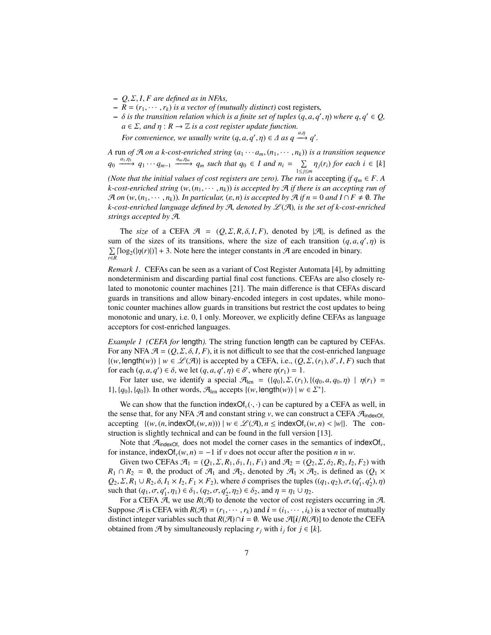- *<sup>Q</sup>*, Σ, *<sup>I</sup>*, *F are defined as in NFAs,*
- $-R = (r_1, \dots, r_k)$  *is a vector of (mutually distinct)* cost registers,
- $\delta$  *is the transition relation which is a finite set of tuples*  $(q, a, q', \eta)$  *where*  $q, q' \in Q$ ,  $q \in \Sigma$  and  $n : R \to \mathbb{Z}$  is a cost register undate function  $a \in \Sigma$ , and  $\eta : R \to \mathbb{Z}$  *is a cost register update function.*

*For convenience, we usually write*  $(q, a, q', \eta) \in \Delta$  *as*  $q \stackrel{a, \eta}{\longrightarrow} q'$ .

A run of A on a k-cost-enriched string  $(a_1 \cdots a_m, (n_1, \cdots, n_k))$  is a transition sequence<br>  $q_0 \xrightarrow{a_1, \eta_1} q_1 \cdots q_{m-1} \xrightarrow{a_m, \eta_m} q_m$  such that  $q_0 \in I$  and  $n_i = \sum_{1 \le j \le m} \eta_j(r_i)$  for each  $i \in [k]$ *(Note that the initial values of cost registers are zero). The run is accepting if*  $q_m \in F$ *. A* 

*k*-cost-enriched string  $(w, (n_1, \dots, n_k))$  is accepted by A if there is an accepting run of  $\mathcal{A}$  *on* (*w*, ( $n_1, \dots, n_k$ )). In particular, ( $\varepsilon$ ,  $n$ ) is accepted by  $\mathcal{A}$  if  $n = 0$  and  $I \cap F \neq \emptyset$ . The *k-cost-enriched language defined by* A*, denoted by* L (A)*, is the set of k-cost-enriched strings accepted by* A*.*

The *size* of a CEFA  $\mathcal{A} = (Q, \Sigma, R, \delta, I, F)$ , denoted by  $|\mathcal{A}|$ , is defined as the sum of the sizes of its transitions, where the size of each transition (*q*, *a*, *q*  $\sum_{r \in R} \left[ \log_2(|\eta(r)|) \right] + 3$ . Note here the integer constants in A are encoded in binary.  $', \eta$ ) is

*Remark 1.* CEFAs can be seen as a variant of Cost Register Automata [4], by admitting nondeterminism and discarding partial final cost functions. CEFAs are also closely related to monotonic counter machines [21]. The main difference is that CEFAs discard guards in transitions and allow binary-encoded integers in cost updates, while monotonic counter machines allow guards in transitions but restrict the cost updates to being monotonic and unary, i.e. 0, 1 only. Moreover, we explicitly define CEFAs as language acceptors for cost-enriched languages.

*Example 1 (CEFA for* length*).* The string function length can be captured by CEFAs. For any NFA  $\mathcal{A} = (O, \Sigma, \delta, I, F)$ , it is not difficult to see that the cost-enriched language  $\{(w, \text{length}(w)) \mid w \in \mathcal{L}(\mathcal{A})\}$  is accepted by a CEFA, i.e.,  $(Q, \Sigma, (r_1), \delta', I, F)$  such that for each  $(a, a, a') \in \delta$  we let  $(a, a, a', n) \in \delta'$  where  $p(r_1) = 1$ for each  $(q, a, q') \in \delta$ , we let  $(q, a, q', \eta) \in \delta'$ , where  $\eta(r_1) = 1$ .<br>For later use, we identify a special  $\mathcal{A}_r = (f_{q_0}) \sum_{r} (r_r)$ 

For later use, we identify a special  $\mathcal{A}_{\text{len}} = (\{q_0\}, \Sigma, (r_1), \{(q_0, a, q_0, \eta) \mid \eta(r_1) =$ 1},  $\{q_0\}$ ,  $\{q_0\}$ ). In other words,  $\mathcal{A}_{\text{len}}$  accepts  $\{(w, \text{length}(w)) \mid w \in \Sigma^*\}.$ 

We can show that the function index $\mathsf{Of}_v(\cdot, \cdot)$  can be captured by a CEFA as well, in the sense that, for any NFA  $\mathcal{A}$  and constant string  $v$ , we can construct a CEFA  $\mathcal{A}_{indexOf_v}$ accepting  $\{(w, (n, \text{indexOf}_v(w, n))) \mid w \in \mathcal{L}(\mathcal{A}), n \leq \text{indexOf}_v(w, n) < |w|\}.$  The construction is slightly technical and can be found in the full version [13].

Note that  $\mathcal{A}_{indexOf_v}$  does not model the corner cases in the semantics of index $Of_v$ , for instance, index $\text{Of}_v(w, n) = -1$  if *v* does not occur after the position *n* in *w*.

Given two CEFAs  $\mathcal{A}_1 = (Q_1, \Sigma, R_1, \delta_1, I_1, F_1)$  and  $\mathcal{A}_2 = (Q_2, \Sigma, \delta_2, R_2, I_2, F_2)$  with  $R_1 \cap R_2 = \emptyset$ , the product of  $\mathcal{A}_1$  and  $\mathcal{A}_2$ , denoted by  $\mathcal{A}_1 \times \mathcal{A}_2$ , is defined as  $(Q_1 \times$  $Q_2, \Sigma, R_1 \cup R_2, \delta, I_1 \times I_2, F_1 \times F_2$ ), where  $\delta$  comprises the tuples  $((q_1, q_2), \sigma, (q'_1, q'_2), \eta)$ such that  $(q_1, \sigma, q'_1, \eta_1) \in \delta_1$ ,  $(q_2, \sigma, q'_2, \eta_2) \in \delta_2$ , and  $\eta = \eta_1 \cup \eta_2$ .<br>For a CEEA  $\mathcal{A}$  we use  $R(\mathcal{A})$  to denote the vector of cost required.

For a CEFA  $\mathcal{A}$ , we use  $R(\mathcal{A})$  to denote the vector of cost registers occurring in  $\mathcal{A}$ . Suppose  $\mathcal A$  is CEFA with  $R(\mathcal A) = (r_1, \dots, r_k)$  and  $i = (i_1, \dots, i_k)$  is a vector of mutually distinct integer variables such that  $R(\mathcal{A}) \cap i = \emptyset$ . We use  $\mathcal{A}[i/R(\mathcal{A})]$  to denote the CEFA obtained from  $\mathcal{A}$  by simultaneously replacing  $r_i$  with  $i_j$  for  $j \in [k]$ .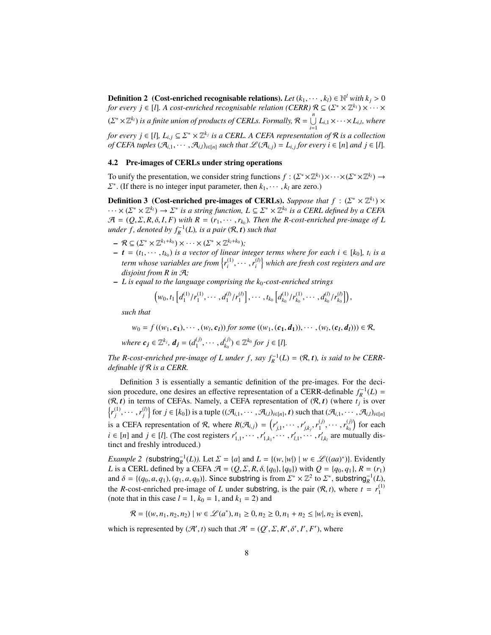**Definition 2** (Cost-enriched recognisable relations). *Let*  $(k_1, \dots, k_l) \in \mathbb{N}^l$  with  $k_j > 0$  for every  $i \in [l]$ . A cost-enriched recognisable relation (CERR)  $\mathcal{R} \subset (\Sigma^* \times \mathbb{Z}^{k_1}) \times \dots \times$ *for every j* ∈ [*l*]*. A cost-enriched recognisable relation (CERR)*  $\mathcal{R} \subseteq (\Sigma^* \times \mathbb{Z}^{k_1}) \times \cdots \times$  $(\Sigma^* \times \mathbb{Z}^{k_l})$  *is a finite union of products of CERLs. Formally,*  $\mathcal{R} = \bigcup_{i=1}^n L_{i,1} \times \cdots \times L_{i,l}$ , where

*for every*  $j \in [l], L_{i,j} \subseteq \Sigma^* \times \mathbb{Z}^{k_j}$  *is a CERL. A CEFA representation of* R *is a collection*<br>*of CEFA tuples* (A<sub>L</sub>, ..., A<sub>L</sub>), ... such that  $\mathcal{L}(\mathcal{A}_L) = I_L$  for every  $i \in [n]$  and  $i \in [l]$  $of$  *CEFA tuples*  $(\mathcal{A}_{i,1}, \cdots, \mathcal{A}_{i,l})_{i \in [n]}$  *such that*  $\mathcal{L}(\mathcal{A}_{i,j}) = L_{i,j}$  *for every i*  $\in [n]$  *and j*  $\in [l]$ *.* 

### 4.2 Pre-images of CERLs under string operations

To unify the presentation, we consider string functions  $f: (\Sigma^* \times \mathbb{Z}^{k_1}) \times \cdots \times (\Sigma^* \times \mathbb{Z}^{k_l}) \to \Sigma^*$  (If there is no integer input parameter then  $k_1, \ldots, k_l$  are zero) \*. (If there is no integer input parameter, then  $k_1, \dots, k_l$  are zero.)

**Definition 3 (Cost-enriched pre-images of CERLs).** *Suppose that*  $f : (\Sigma^* \times \mathbb{Z}^{k_1}) \times \cdots \times (\Sigma^* \times \mathbb{Z}^{k_l}) \rightarrow \Sigma^*$  is a stripe function  $I \subseteq \Sigma^* \times \mathbb{Z}^{k_0}$  is a CERI defined by a CEFA  $\cdots \times (\Sigma^* \times \mathbb{Z}^{k_l}) \to \Sigma^*$  is a string function,  $L \subseteq \Sigma^* \times \mathbb{Z}^{k_0}$  is a CERL defined by a CEFA<br> $\mathcal{A} = (O \Sigma \mathbb{R} \land I \mathbb{F})$  with  $R = (r_1, \ldots, r_k)$ . Then the R-cost-enriched pre-image of I  $\mathcal{A} = (Q, \Sigma, R, \delta, I, F)$  with  $R = (r_1, \dots, r_{k_0})$ . Then the R-cost-enriched pre-image of L<br>under f. denoted by  $f^{-1}(I)$  is a pair  $(\mathcal{R}, f)$  such that *under f, denoted by*  $f_R^{-1}(L)$ *, is a pair*  $(R, t)$  *such that* 

- $\mathcal{R} \subseteq (\Sigma^* \times \mathbb{Z}^{k_1+k_0}) \times \cdots \times (\Sigma^* \times \mathbb{Z}^{k_l+k_0});$ <br>  $\mathcal{A} = \mathcal{A} = (t_1, \ldots, t_l)$  is a vector of linear in
- *t* = ( $t_1$ , · · · , $t_{k_0}$ ) *is a vector of linear integer terms where for each i* ∈ [ $k_0$ ],  $t_i$  *is a*<br>*term whose variables are from* [ $x^{(1)}$  *x*<sup>(*l*)</sup>*) which are freeh sect resistans and are term whose variables are from*  $\{r_i^{(1)}, \cdots, r_i^{(l)}\}$  which are fresh cost registers and are disjoint from **R** in  $\mathcal{A}$ . *disjoint from R in* A*;*
- $L$  *is equal to the language comprising the*  $k_0$ *-cost-enriched strings*

$$
\left(w_0,t_1\left[d_1^{(1)}/r_1^{(1)},\cdots,d_1^{(l)}/r_1^{(l)}\right],\cdots,t_{k_0}\left[d_{k_0}^{(1)}/r_{k_0}^{(1)},\cdots,d_{k_0}^{(l)}/r_{k_0}^{(l)}\right]\right),\right.
$$

*such that*

 $w_0 = f((w_1, c_1), \dots, (w_l, c_l))$  *for some*  $((w_1, (c_1, d_1)), \dots, (w_l, (c_l, d_l))) \in \mathcal{R}$ ,

*where*  $c_j \in \mathbb{Z}^{k_j}$ ,  $d_j = (d_1^{(j)})$  $a_1^{(j)}, \cdots, a_{k_0}^{(j)}$  $\binom{f^{(j)}}{k_0}$  ∈  $\mathbb{Z}^{k_0}$  for  $j \in [l]$ *.* 

*The R-cost-enriched pre-image of L under f, say*  $f_R^{-1}(L) = (R, t)$ *, is said to be CERR-*<br>*definable if*  $R$  *is a CERR definable if* R *is a CERR.*

Definition 3 is essentially a semantic definition of the pre-images. For the decision procedure, one desires an effective representation of a CERR-definable  $f_R^{-1}(L)$  = (R, *t*) in terms of CEFAs. Namely, a CEFA representation of (R, *t*) (where *t<sub>j</sub>* is over  $\left\{r_j^{(1)}, \dots, r_j^{(l)}\right\}$  for  $j \in [k_0]$ ) is a tuple  $((\mathcal{A}_{i,1}, \dots, \mathcal{A}_{i,l})_{i \in [n]}, t)$  such that  $(\mathcal{A}_{i,1}, \dots, \mathcal{A}_{i,l})_{i \in [n]}$ is a CEFA representation of R, where  $R(\mathcal{A}_{i,j}) = (r'_{j,1}, \dots, r'_{j,k_j}, r_1^{(j)})$  $r_1^{(j)}, \cdots, r_{k_0}^{(j)}$ <br>  $r'_1$  or my  $\binom{f^{(j)}}{k_0}$  for each *i* ∈ [*n*] and *j* ∈ [*l*]. (The cost registers  $r'_{1,1}, \cdots, r'_{1,k_1}, \cdots, r'_{l,1}, \cdots, r'_{l,k_l}$  are mutually distinct and freshly introduced) tinct and freshly introduced.)

*Example 2* (substring<sub>R</sub><sup>-1</sup>(*L*)). Let  $\Sigma = \{a\}$  and  $L = \{(w, |w|) | w \in \mathcal{L}((aa)^*)\}$ . Evidently *L* is a CERL defined by a CEEA  $\mathcal{A} = (O \Sigma R \land Ig_0)$  with  $O = Ig_0, g_1 \mid R = (r_1)$ *L* is a CERL defined by a CEFA  $A = (Q, \Sigma, R, \delta, \{q_0\}, \{q_0\})$  with  $Q = \{q_0, q_1\}, R = (r_1)$ and  $\delta = \{(q_0, a, q_1), (q_1, a, q_0)\}\)$ . Since substring is from  $\Sigma^* \times \mathbb{Z}^2$  to  $\Sigma^*$ , substring<sup>-1</sup>(*L*), the *R* sect optical are image of *L* under substring is the noir (*R*<sub>i</sub>), where  $t = \pi^{(1)}$ the *R*-cost-enriched pre-image of *L* under substring, is the pair  $(R, t)$ , where  $t = r_1^{(1)}$ 1 (note that in this case  $l = 1$ ,  $k_0 = 1$ , and  $k_1 = 2$ ) and

 $\mathcal{R} = \{ (w, n_1, n_2, n_2) \mid w \in \mathcal{L}(a^*), n_1 \geq 0, n_2 \geq 0, n_1 + n_2 \leq |w|, n_2 \text{ is even} \},\$ 

which is represented by  $(\mathcal{A}', t)$  such that  $\mathcal{A}' = (Q', \Sigma, R', \delta', I', F')$ , where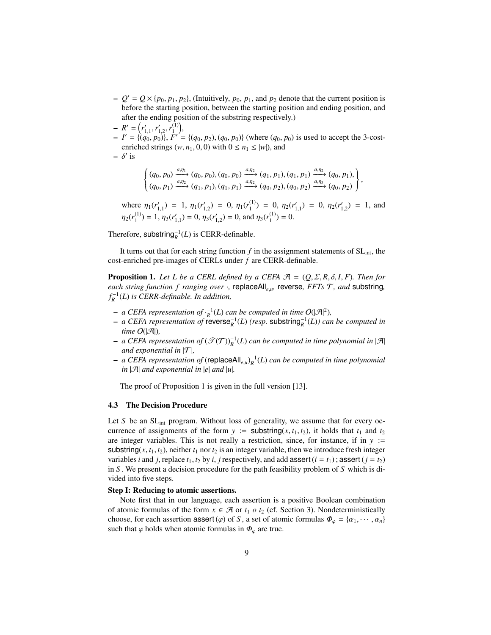- $Q' = Q \times \{p_0, p_1, p_2\}$ , (Intuitively,  $p_0, p_1$ , and  $p_2$  denote that the current position is before the starting position between the starting position and ending position and before the starting position, between the starting position and ending position, and after the ending position of the substring respectively.)
- $R' = (r'_{1,1}, r'_{1,2}, r'^{(1)}_{1,2})$ <br>  $= I' = \{(a_0, n_0)\}\ \ \ \text{F'}$  $\binom{1}{1}$ ,
- $I = \{P_1, P_2, P_1, P_2, P_2, P_3\}$ <br>  $I' = \{(q_0, p_0)\}, F' = \{(q_0, p_2), (q_0, p_0)\}$  (where  $(q_0, p_0)$  is used to accept the 3-cost-<br>
enriched strings  $(w, p, 0, 0)$  with  $0 \le p, \le |w|$  and enriched strings  $(w, n_1, 0, 0)$  with  $0 \le n_1 \le |w|$ , and
- $\delta'$  is

$$
\begin{Bmatrix}\n(q_0, p_0) \xrightarrow{a, \eta_1} (q_0, p_0), (q_0, p_0) \xrightarrow{a, \eta_2} (q_1, p_1), (q_1, p_1) \xrightarrow{a, \eta_2} (q_0, p_1), \\
(q_0, p_1) \xrightarrow{a, \eta_2} (q_1, p_1), (q_1, p_1) \xrightarrow{a, \eta_2} (q_0, p_2), (q_0, p_2) \xrightarrow{a, \eta_3} (q_0, p_2)\n\end{Bmatrix},
$$

where  $\eta_1(r'_{1,1}) = 1$ ,  $\eta_1(r'_{1,2}) = 0$ ,  $\eta_1(r_1^{(1)})$  $\eta_1^{(1)} = 0$ ,  $\eta_2(r'_{1,1}) = 0$ ,  $\eta_2(r'_{1,2}) = 1$ , and  $\eta_2(r_1^{(1)}$  $\eta_1^{(1)}$ ) = 1,  $\eta_3(r'_{1,1})$  = 0,  $\eta_3(r'_{1,2})$  = 0, and  $\eta_3(r'^{(1)}_1)$  $_1^{(1)}$ ) = 0.

Therefore, substring $_R^{-1}(L)$  is CERR-definable.

It turns out that for each string function  $f$  in the assignment statements of  $SL<sub>int</sub>$ , the cost-enriched pre-images of CERLs under *f* are CERR-definable.

**Proposition 1.** Let L be a CERL defined by a CEFA  $\mathcal{A} = (Q, \Sigma, R, \delta, I, F)$ . Then for *each string function f ranging over*  $\cdot$ , replaceAll<sub>e,*u*</sub>, reverse, *FFTs*  $\mathcal{T}$ , *and* substring,  $f^{-1}(I)$  is CERR definable. In addition *f* −1 *R* (*L*) *is CERR-definable. In addition,*

- − *a* CEFA representation of  $\cdot$ <sub>R</sub><sup>1</sup></sub>(*L*) *can be computed in time*  $O(|\mathcal{A}|^2)$ *,*
- *a CEFA representation of* reverse−<sup>1</sup> *R* (*L*) *(resp.* substring−<sup>1</sup> *R* (*L*)*) can be computed in time* O(|A|)*,*
- **-** a CEFA representation of  $(\mathcal{T}(T))_R^{-1}(L)$  can be computed in time polynomial in  $|\mathcal{A}|$ *and exponential in*  $|T|$ ,
- − *a CEFA representation of* (replaceAll<sub>e,*u*</sub>) $_{R}^{-1}(L)$  *can be computed in time polynomial*<br>in  $|\mathcal{A}|$  and axponential in let and lul  $in |\mathcal{A}|$  *and exponential in*  $|e|$  *and*  $|u|$ *.*

The proof of Proposition 1 is given in the full version [13].

### 4.3 The Decision Procedure

Let *S* be an SL<sub>int</sub> program. Without loss of generality, we assume that for every occurrence of assignments of the form  $y :=$  substring( $x$ ,  $t_1$ ,  $t_2$ ), it holds that  $t_1$  and  $t_2$ are integer variables. This is not really a restriction, since, for instance, if in  $y :=$ substring( $x$ ,  $t_1$ ,  $t_2$ ), neither  $t_1$  nor  $t_2$  is an integer variable, then we introduce fresh integer variables *i* and *j*, replace  $t_1$ ,  $t_2$  by *i*, *j* respectively, and add assert  $(i = t_1)$ ; assert  $(j = t_2)$ in *S* . We present a decision procedure for the path feasibility problem of *S* which is divided into five steps.

#### Step I: Reducing to atomic assertions.

Note first that in our language, each assertion is a positive Boolean combination of atomic formulas of the form  $x \in \mathcal{A}$  or  $t_1$  *o*  $t_2$  (cf. Section 3). Nondeterministically choose, for each assertion assert  $(\varphi)$  of *S*, a set of atomic formulas  $\Phi_{\varphi} = {\alpha_1, \cdots, \alpha_n}$ such that  $\varphi$  holds when atomic formulas in  $\Phi_{\varphi}$  are true.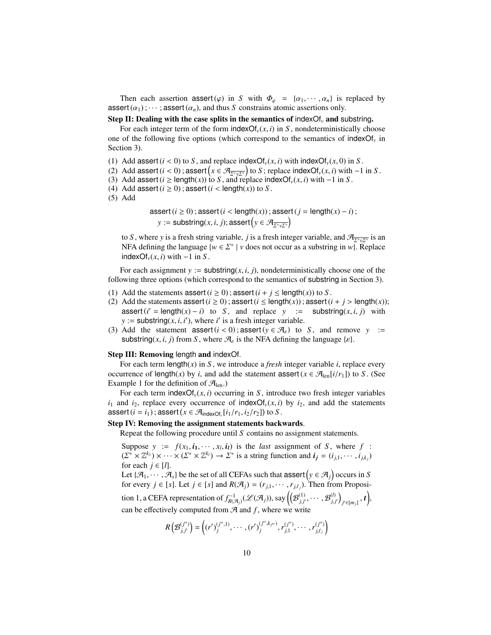Then each assertion assert  $(\varphi)$  in *S* with  $\Phi_{\varphi} = {\alpha_1, \cdots, \alpha_n}$  is replaced by assert  $(\alpha_1)$ ;  $\dots$ ; assert  $(\alpha_n)$ , and thus *S* constrains atomic assertions only.

Step II: Dealing with the case splits in the semantics of index $\text{Of}_\nu$  and substring.

For each integer term of the form index $\text{Of}_v(x, i)$  in *S*, nondeterministically choose one of the following five options (which correspond to the semantics of index $\text{Of}_v$  in Section 3).

- (1) Add assert  $(i < 0)$  to *S*, and replace index  $\text{Of}_v(x, i)$  with index  $\text{Of}_v(x, 0)$  in *S*.
- (2) Add assert  $(i < 0)$ ; assert  $\left(x \in \mathcal{A}_{\overline{2^*y\mathcal{F}^*}}\right)$  to *S*; replace indexOf<sub>*v*</sub>(*x*, *i*) with −1 in *S*.<br>(3) Add assert  $(i > \text{length}(x))$  to *S* and replace indexOf (*x i*) with −1 in *S*
- (2) Add assert (*i* < 0), assert ( $x \in \overline{X_{\Sigma^*y\Sigma^*}}$ ) to *S*, replace indexOf<sub>*v*</sub>(*x*, *i*) with −1 in *S* .<br>(3) Add assert (*i* ≥ length(*x*)) to *S*, and replace indexOf<sub>*v*</sub>(*x*, *i*) with −1 in *S* .
- (4) Add assert  $(i \ge 0)$ ; assert  $(i < \text{length}(x))$  to  $S$ .
- (5) Add

assert (
$$
i \ge 0
$$
); assert ( $i <$ length $(x)$ ); assert ( $j =$ length $(x) - i$ );  
\n $y :=$  substring $(x, i, j)$ ; assert $\left(y \in \mathcal{A}_{\overline{\Sigma^*v\Sigma^*}}\right)$ 

to *S*, where *y* is a fresh string variable, *j* is a fresh integer variable, and  $\mathcal{A}_{\overline{\Sigma^*v\Sigma^*}}$  is an NEA defining the language  $\{w \in \Sigma^* | v \}$  does not occur as a substring in  $w$ <sup>1</sup>. Replace NFA defining the language  $\{w \in \Sigma^* \mid v \text{ does not occur as a substring in } w\}$ . Replace index Of  $(x, i)$  with  $-1$  in S indexOf<sub>*v*</sub> $(x, i)$  with  $-1$  in *S*.

For each assignment  $y :=$  substring( $x, i, j$ ), nondeterministically choose one of the following three options (which correspond to the semantics of substring in Section 3).

- (1) Add the statements assert ( $i \ge 0$ ); assert ( $i + j \le$  length(x)) to *S*.
- (2) Add the statements assert  $(i \ge 0)$ ; assert  $(i \le length(x))$ ; assert  $(i + j > length(x))$ ; assert  $(i' = length(x) i)$  to S, and replace  $y :=$  substring $(x, i, j)$  with assert  $(i' = \text{length}(x) - i)$  to *S*, and replace *y* := substring(*x*, *i*, *j*) with  $y :=$  substring(*x*, *i*, *i*) where *i*' is a fresh integer variable *y* := substring(*x*, *i*, *i'*), where *i'* is a fresh integer variable.<br>Add the statement assert (*i* < 0) : assert (*y* ∈  $\mathcal{A}$ ) to
- (3) Add the statement assert  $(i < 0)$ ; assert  $(y \in \mathcal{A}_{\varepsilon})$  to *S*, and remove  $y :=$ substring(*x*, *i*, *j*) from *S*, where  $\mathcal{A}_{\varepsilon}$  is the NFA defining the language { $\varepsilon$ }.

#### Step III: Removing length and indexOf.

For each term length(*x*) in *S* , we introduce a *fresh* integer variable *i*, replace every occurrence of length(*x*) by *i*, and add the statement assert ( $x \in \mathcal{A}_{\text{len}}[i/r_1]$ ) to *S*. (See Example 1 for the definition of  $\mathcal{A}_{len}$ .)

For each term index $\text{Of}_v(x, i)$  occurring in *S*, introduce two fresh integer variables  $i_1$  and  $i_2$ , replace every occurrence of indexOf<sub>*v*</sub>(*x*, *i*) by  $i_2$ , and add the statements  $\text{assert}(i = i_1)$ ; assert  $(x \in \mathcal{A}_{\text{indexOf}_v}[i_1/r_1, i_2/r_2])$  to *S*.

# Step IV: Removing the assignment statements backwards.

Repeat the following procedure until *S* contains no assignment statements.

Suppose  $y := f(x_1, i_1, \dots, x_l, i_l)$  is the *last* assignment of *S*, where  $f : (x_1, x_2, \dots, x_l) \times (x_1, x_2, \dots, x_l) \times (x_2, x_1, x_2, \dots, x_l)$  $(\sum^* \times \mathbb{Z}^{k_1}) \times \cdots \times (\sum^* \times \mathbb{Z}^{k_l}) \to \sum^*$  is a string function and  $i_j = (i_{j,1}, \dots, i_{j,k_j})$  for each  $i \in \Pi$ for each  $j \in [l]$ .

Let  $\{\mathcal{A}_1, \dots, \mathcal{A}_s\}$  be the set of all CEFAs such that assert  $(y \in \mathcal{A}_j)$  occurs in *S* for every  $i \in [s]$ . Let  $i \in [s]$  and  $R(\mathcal{A}_i) = (r_{i+1}, \dots, r_{i+1})$ . Then from Proposition for every  $j \in [s]$ . Let  $j \in [s]$  and  $R(\mathcal{A}_j) = (r_{j,1}, \dots, r_{j,\ell_j})$ for every  $j \in [s]$ . Let  $j \in [s]$  and  $R(\mathcal{A}_j) = (r_{j,1}, \dots, r_{j,\ell_j})$ . Then from Proposition 1, a CEFA representation of  $f_{R(\mathcal{A}_j)}^{-1}(\mathcal{L}(\mathcal{A}_j))$ , say  $\left(\left(\mathcal{B}_{j,j'}^{(1)},\cdots,\mathcal{B}_{j,j'}^{(l)}\right)\right)$  $\binom{[l]}{j,j'}_{j'\in[m_j]}$ , **t**, can be effectively computed from  $\mathcal A$  and  $f$ , where we write

$$
R\left(\mathcal{B}_{j,j'}^{(j'')}\right) = \left((r')_j^{(j'',1)}, \cdots, (r')_j^{(j'',k_{j''})}, r_{j,1}^{(j'')}, \cdots, r_{j,\ell_j}^{(j'')}\right)
$$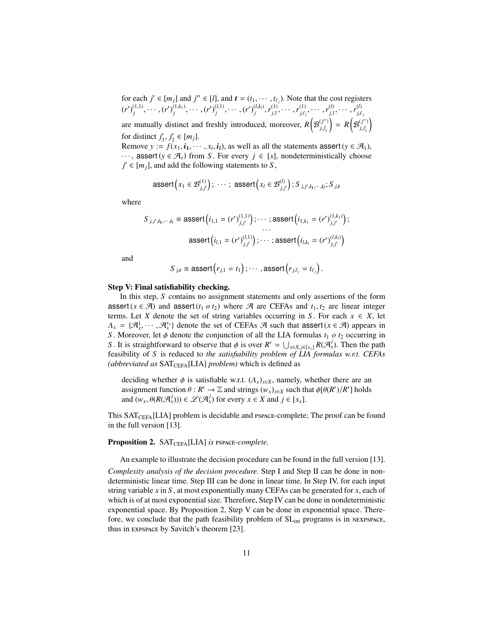for each *j*<sup> $\ell$ </sup> ∈ [*m<sub>j</sub>*] and *j*<sup> $\ell$ </sup> ∈ [*l*], and *t* = (*t*<sub>1</sub>, · · ·, *t*<sub>*t*</sub><sub>*j*</sub>). Note that the cost registers  $\alpha_1$  (*d*<sub>1</sub>)</sub> (*d*<sub>1</sub>) (*d*<sub>1</sub>) (*d*<sub>2</sub>) (*d*<sub>1</sub>) (*d*) (*d*) (*d*) (*d*) (*d*) (*d*) (*d*)  $(r')^{(1,1)}_j, \cdots, (r')^{(1,k_1)}_j, \cdots, (r')^{(l,1)}_j, \cdots, (r')^{(l,k_l)}_j, r^{(1)}_{j,1}$  $f_{j,1}^{(1)}, \cdots, r_{j,\ell}^{(1)}$  $f_{j,\ell_j}^{(1)}, \cdots, f_{j,1}^{(l)}$  $\binom{l}{j,1}, \cdots, r_{j,\ell}^{(l)}$  $\frac{j,\ell_j}{\ell}$ are mutually distinct and freshly introduced, moreover,  $R\left(\mathcal{B}_{i,i}^{(j')}\right)$  $j, j'_1$  $= R\left(\mathcal{B}_{i,i'}^{(j'')}\right)$  $j, j'_2$ Ι for distinct  $j'_1, j'_2 \in [m_j]$ .<br>Remove  $y := f(x, i_1, j_2)$ 

Remove  $y := f(x_1, i_1, \dots, x_l, i_l)$ , as well as all the statements assert  $(y \in \mathcal{A}_1)$ ,<br>... assert  $(y \in \mathcal{A})$  from S. For every  $i \in [s]$ , pondeterministically choose  $\cdots$ , assert (*y* ∈  $\mathcal{A}_s$ ) from *S*. For every *j* ∈ [*s*], nondeterministically choose  $j' \in [m_j]$ , and add the following statements to *S*,

$$
\text{assert}\left(x_1 \in \mathcal{B}_{j,j'}^{(1)}\right); \cdots; \text{ assert}\left(x_l \in \mathcal{B}_{j,j'}^{(l)}\right); S_{j,j',i_1,\cdots,i_l}; S_{j,t'}
$$

where

$$
S_{j,j',i_1,\dots,i_l} \equiv \text{assert}(i_{1,1} = (r')_{j,j'}^{(1,1)}); \dots; \text{assert}(i_{1,k_1} = (r')_{j,j'}^{(1,k_1)});
$$
  
...  
assert $(i_{l,1} = (r')_{j,j'}^{(l,1)}); \dots; \text{assert}(i_{l,k_l} = (r')_{j,j'}^{(l,k_l)})$ 

and

$$
S_{j,t} \equiv \text{assert}\left(r_{j,1} = t_1\right); \cdots, \text{assert}\left(r_{j,\ell_j} = t_{\ell_j}\right)
$$

#### Step V: Final satisfiability checking.

In this step, *S* contains no assignment statements and only assertions of the form assert ( $x \in \mathcal{A}$ ) and assert ( $t_1 \circ t_2$ ) where  $\mathcal A$  are CEFAs and  $t_1, t_2$  are linear integer terms. Let *X* denote the set of string variables occurring in *S*. For each  $x \in X$ , let  $\Lambda_x = \{ \mathcal{A}_x^1, \dots, \mathcal{A}_x^{s_x} \}$  denote the set of CEFAs  $\mathcal{A}$  such that assert ( $x \in \mathcal{A}$ ) appears in  $S$ . Moreover, let  $\Lambda$  denote the conjunction of all the L14 formulas t, a to occurring in *S*. Moreover, let  $\phi$  denote the conjunction of all the LIA formulas  $t_1$  *o*  $t_2$  occurring in *S*. It is straightforward to observe that  $\phi$  is over  $R' = \bigcup_{x \in X, j \in [s_x]} R(\mathcal{A}_x^j)$ . Then the path feasibility of *S* is reduced to the satisfiability problem of *LIA* formulas w.r.t. CEEAs feasibility of *S* is reduced to *the satisfiability problem of LIA formulas w.r.t. CEFAs (abbreviated as*  $SAT_{CERA}[LIA]$  *problem)* which is defined as

deciding whether  $\phi$  is satisfiable w.r.t.  $(\Lambda_x)_{x \in X}$ , namely, whether there are an assignment function  $\theta : R' \to \mathbb{Z}$  and strings  $(w_x)_{x \in X}$  such that  $\phi[\theta(R')/R']$  holds<br>and  $(w, \theta(R(\mathcal{A}^j))) \in \mathcal{L}(\mathcal{A}^j)$  for every  $x \in X$  and  $i \in [s]$ and  $(w_x, \theta(R(\mathcal{A}_x^j))) \in \mathcal{L}(\mathcal{A}_x^j)$  for every  $x \in X$  and  $j \in [s_x]$ .

This SAT<sub>CEFA</sub>[LIA] problem is decidable and pspace-complete; The proof can be found in the full version [13].

# Proposition 2. SAT<sub>CEFA</sub>[LIA] *is* pspace-*complete*.

An example to illustrate the decision procedure can be found in the full version [13].

*Complexity analysis of the decision procedure.* Step I and Step II can be done in nondeterministic linear time. Step III can be done in linear time. In Step IV, for each input string variable *x* in *S* , at most exponentially many CEFAs can be generated for *x*, each of which is of at most exponential size. Therefore, Step IV can be done in nondeterministic exponential space. By Proposition 2, Step V can be done in exponential space. Therefore, we conclude that the path feasibility problem of  $SL<sub>int</sub>$  programs is in NEXPSPACE, thus in expspace by Savitch's theorem [23].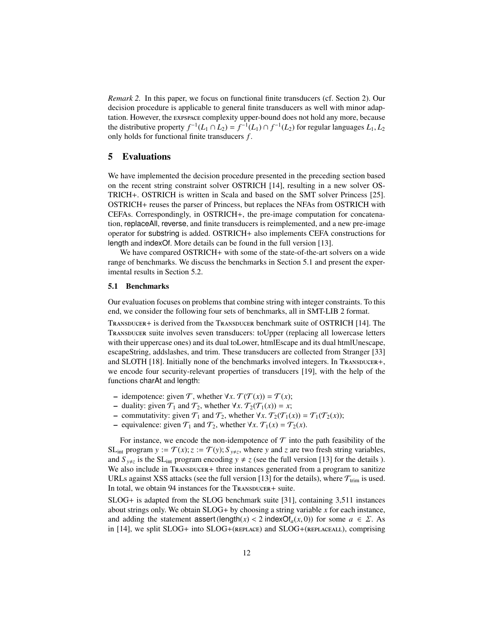*Remark 2.* In this paper, we focus on functional finite transducers (cf. Section 2). Our decision procedure is applicable to general finite transducers as well with minor adaptation. However, the expspace complexity upper-bound does not hold any more, because the distributive property  $f^{-1}(L_1 \cap L_2) = f^{-1}(L_1) \cap f^{-1}(L_2)$  for regular languages  $L_1, L_2$ <br>only holds for functional finite transducers *f* only holds for functional finite transducers *f* .

# 5 Evaluations

We have implemented the decision procedure presented in the preceding section based on the recent string constraint solver OSTRICH [14], resulting in a new solver OS-TRICH+. OSTRICH is written in Scala and based on the SMT solver Princess [25]. OSTRICH+ reuses the parser of Princess, but replaces the NFAs from OSTRICH with CEFAs. Correspondingly, in OSTRICH+, the pre-image computation for concatenation, replaceAll, reverse, and finite transducers is reimplemented, and a new pre-image operator for substring is added. OSTRICH+ also implements CEFA constructions for length and indexOf. More details can be found in the full version [13].

We have compared OSTRICH + with some of the state-of-the-art solvers on a wide range of benchmarks. We discuss the benchmarks in Section 5.1 and present the experimental results in Section 5.2.

# 5.1 Benchmarks

Our evaluation focuses on problems that combine string with integer constraints. To this end, we consider the following four sets of benchmarks, all in SMT-LIB 2 format.

Transducer+ is derived from the Transducer benchmark suite of OSTRICH [14]. The Transducer suite involves seven transducers: toUpper (replacing all lowercase letters with their uppercase ones) and its dual toLower, htmlEscape and its dual htmlUnescape, escapeString, addslashes, and trim. These transducers are collected from Stranger [33] and SLOTH  $[18]$ . Initially none of the benchmarks involved integers. In Transpucer+, we encode four security-relevant properties of transducers [19], with the help of the functions charAt and length:

- idempotence: given  $\mathcal{T}$ , whether  $\forall x$ .  $\mathcal{T}(\mathcal{T}(x)) = \mathcal{T}(x)$ ;
- duality: given  $\mathcal{T}_1$  and  $\mathcal{T}_2$ , whether ∀*x*.  $\mathcal{T}_2(\mathcal{T}_1(x)) = x$ ;
- commutativity: given  $\mathcal{T}_1$  and  $\mathcal{T}_2$ , whether  $\forall x$ .  $\mathcal{T}_2(\mathcal{T}_1(x)) = \mathcal{T}_1(\mathcal{T}_2(x))$ ;
- equivalence: given  $\mathcal{T}_1$  and  $\mathcal{T}_2$ , whether ∀*x*.  $\mathcal{T}_1(x) = \mathcal{T}_2(x)$ .

For instance, we encode the non-idempotence of  $\mathcal T$  into the path feasibility of the SL<sub>int</sub> program  $y := \mathcal{T}(x); z := \mathcal{T}(y); S_{y \neq z}$ , where y and z are two fresh string variables, and  $S_{y \neq z}$  is the SL<sub>int</sub> program encoding  $y \neq z$  (see the full version [13] for the details ). We also include in TRANSDUCER+ three instances generated from a program to sanitize URLs against XSS attacks (see the full version [13] for the details), where  $\mathcal{T}_{\text{trim}}$  is used. In total, we obtain 94 instances for the TRANSDUCER+ suite.

SLOG+ is adapted from the SLOG benchmark suite [31], containing 3,511 instances about strings only. We obtain SLOG+ by choosing a string variable *x* for each instance, and adding the statement assert (length(x) < 2 index $\text{Of}_a(x, 0)$ ) for some  $a \in \Sigma$ . As in [14], we split SLOG+ into SLOG+(replace) and SLOG+(replaceall), comprising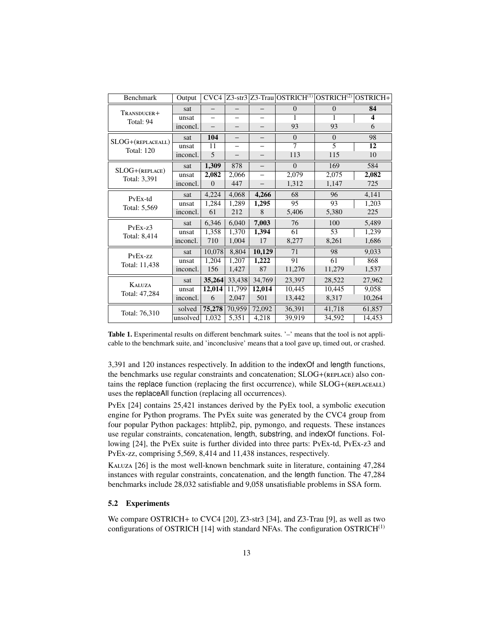| <b>Benchmark</b>                       | Output   | CVC4                     |        |                          |                | $ Z3\text{-str3} Z3\text{-}Trau OSTRICH^{(1)} OSTRICH^{(2)} OSTRICH+$ |        |
|----------------------------------------|----------|--------------------------|--------|--------------------------|----------------|-----------------------------------------------------------------------|--------|
| TRANSDUCER+<br>Total: 94               | sat      |                          |        |                          | $\overline{0}$ | $\Omega$                                                              | 84     |
|                                        | unsat    | $\overline{\phantom{0}}$ | -      | $\overline{\phantom{0}}$ | 1              | 1                                                                     | 4      |
|                                        | inconcl. |                          |        |                          | 93             | 93                                                                    | 6      |
| SLOG+(REPLACEALL)<br><b>Total: 120</b> | sat      | 104                      |        |                          | $\Omega$       | $\Omega$                                                              | 98     |
|                                        | unsat    | 11                       | -      |                          | $\overline{7}$ | 5                                                                     | 12     |
|                                        | inconcl. | 5                        |        |                          | 113            | 115                                                                   | 10     |
| SLOG+(REPLACE)<br>Total: 3,391         | sat      | 1,309                    | 878    |                          | $\Omega$       | 169                                                                   | 584    |
|                                        | unsat    | 2,082                    | 2,066  |                          | 2,079          | 2,075                                                                 | 2,082  |
|                                        | inconcl. | $\theta$                 | 447    |                          | 1,312          | 1,147                                                                 | 725    |
| $PYEX$ -td<br>Total: 5,569             | sat      | 4,224                    | 4,068  | 4,266                    | 68             | 96                                                                    | 4,141  |
|                                        | unsat    | 1,284                    | 1,289  | 1,295                    | 95             | 93                                                                    | 1,203  |
|                                        | inconcl. | 61                       | 212    | 8                        | 5,406          | 5,380                                                                 | 225    |
| $PYEX-z3$<br>Total: 8,414              | sat      | 6,346                    | 6,040  | 7,003                    | 76             | 100                                                                   | 5,489  |
|                                        | unsat    | 1,358                    | 1,370  | 1,394                    | 61             | 53                                                                    | 1,239  |
|                                        | inconcl. | 710                      | 1,004  | 17                       | 8,277          | 8,261                                                                 | 1,686  |
| $PYFX-zz$<br>Total: 11,438             | sat      | 10,078                   | 8,804  | 10,129                   | 71             | 98                                                                    | 9,033  |
|                                        | unsat    | 1.204                    | 1,207  | 1,222                    | 91             | 61                                                                    | 868    |
|                                        | inconcl. | 156                      | 1,427  | 87                       | 11,276         | 11,279                                                                | 1,537  |
| <b>KALUZA</b><br>Total: 47,284         | sat      | 35,264                   | 33,438 | 34,769                   | 23,397         | 28,522                                                                | 27,962 |
|                                        | unsat    | 12,014                   | 11,799 | 12,014                   | 10,445         | 10,445                                                                | 9,058  |
|                                        | inconcl. | 6                        | 2,047  | 501                      | 13,442         | 8,317                                                                 | 10,264 |
| Total: 76,310                          | solved   | 75,278                   | 70,959 | 72,092                   | 36,391         | 41,718                                                                | 61,857 |
|                                        | unsolved | 1,032                    | 5,351  | 4,218                    | 39,919         | 34,592                                                                | 14,453 |

Table 1. Experimental results on different benchmark suites. '–' means that the tool is not applicable to the benchmark suite, and 'inconclusive' means that a tool gave up, timed out, or crashed.

3,391 and 120 instances respectively. In addition to the indexOf and length functions, the benchmarks use regular constraints and concatenation; SLOG+(REPLACE) also contains the replace function (replacing the first occurrence), while SLOG+(REPLACEALL) uses the replaceAll function (replacing all occurrences).

PyEx [24] contains 25,421 instances derived by the PyEx tool, a symbolic execution engine for Python programs. The PyEx suite was generated by the CVC4 group from four popular Python packages: httplib2, pip, pymongo, and requests. These instances use regular constraints, concatenation, length, substring, and indexOf functions. Following [24], the PyEx suite is further divided into three parts: PyEx-td, PyEx-z3 and PyEx-zz, comprising 5,569, 8,414 and 11,438 instances, respectively.

Kaluza [26] is the most well-known benchmark suite in literature, containing 47,284 instances with regular constraints, concatenation, and the length function. The 47,284 benchmarks include 28,032 satisfiable and 9,058 unsatisfiable problems in SSA form.

# 5.2 Experiments

We compare OSTRICH+ to CVC4 [20], Z3-str3 [34], and Z3-Trau [9], as well as two configurations of OSTRICH [14] with standard NFAs. The configuration  $OSTRICH^{(1)}$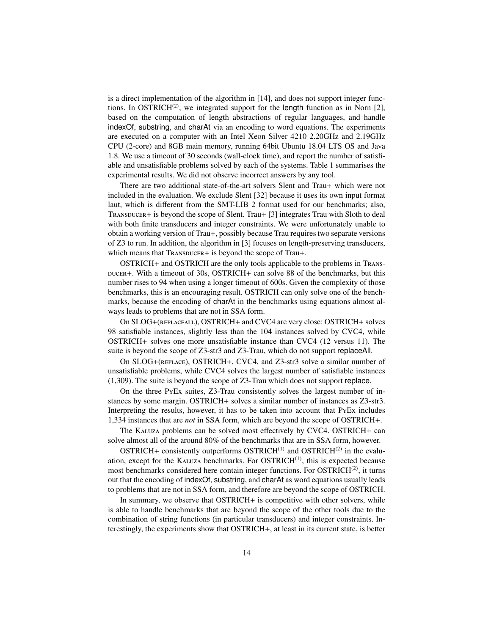is a direct implementation of the algorithm in [14], and does not support integer functions. In OSTRICH<sup>(2)</sup>, we integrated support for the length function as in Norn [2], based on the computation of length abstractions of regular languages, and handle indexOf, substring, and charAt via an encoding to word equations. The experiments are executed on a computer with an Intel Xeon Silver 4210 2.20GHz and 2.19GHz CPU (2-core) and 8GB main memory, running 64bit Ubuntu 18.04 LTS OS and Java 1.8. We use a timeout of 30 seconds (wall-clock time), and report the number of satisfiable and unsatisfiable problems solved by each of the systems. Table 1 summarises the experimental results. We did not observe incorrect answers by any tool.

There are two additional state-of-the-art solvers Slent and Trau+ which were not included in the evaluation. We exclude Slent [32] because it uses its own input format laut, which is different from the SMT-LIB 2 format used for our benchmarks; also,  $Transducer + is beyond the scope of Slent. Trau + [3] integrates Trau with Sloth to deal$ with both finite transducers and integer constraints. We were unfortunately unable to obtain a working version of Trau+, possibly because Trau requires two separate versions of Z3 to run. In addition, the algorithm in [3] focuses on length-preserving transducers, which means that  $ext{Transducer}$  is beyond the scope of Trau+.

OSTRICH+ and OSTRICH are the only tools applicable to the problems in Transducer+. With a timeout of 30s, OSTRICH+ can solve 88 of the benchmarks, but this number rises to 94 when using a longer timeout of 600s. Given the complexity of those benchmarks, this is an encouraging result. OSTRICH can only solve one of the benchmarks, because the encoding of charAt in the benchmarks using equations almost always leads to problems that are not in SSA form.

On SLOG+(replaceall), OSTRICH+ and CVC4 are very close: OSTRICH+ solves 98 satisfiable instances, slightly less than the 104 instances solved by CVC4, while OSTRICH+ solves one more unsatisfiable instance than CVC4 (12 versus 11). The suite is beyond the scope of Z3-str3 and Z3-Trau, which do not support replaceAll.

On SLOG+(replace), OSTRICH+, CVC4, and Z3-str3 solve a similar number of unsatisfiable problems, while CVC4 solves the largest number of satisfiable instances (1,309). The suite is beyond the scope of Z3-Trau which does not support replace.

On the three PyEx suites, Z3-Trau consistently solves the largest number of instances by some margin. OSTRICH+ solves a similar number of instances as Z3-str3. Interpreting the results, however, it has to be taken into account that PyEx includes 1,334 instances that are *not* in SSA form, which are beyond the scope of OSTRICH+.

The Kaluza problems can be solved most effectively by CVC4. OSTRICH+ can solve almost all of the around 80% of the benchmarks that are in SSA form, however.

OSTRICH+ consistently outperforms  $OSTRICH^{(1)}$  and  $OSTRICH^{(2)}$  in the evaluation, except for the KALUZA benchmarks. For  $OSTRICH^{(1)}$ , this is expected because most benchmarks considered here contain integer functions. For  $OSTRICH<sup>(2)</sup>$ , it turns out that the encoding of indexOf, substring, and charAt as word equations usually leads to problems that are not in SSA form, and therefore are beyond the scope of OSTRICH.

In summary, we observe that OSTRICH+ is competitive with other solvers, while is able to handle benchmarks that are beyond the scope of the other tools due to the combination of string functions (in particular transducers) and integer constraints. Interestingly, the experiments show that OSTRICH+, at least in its current state, is better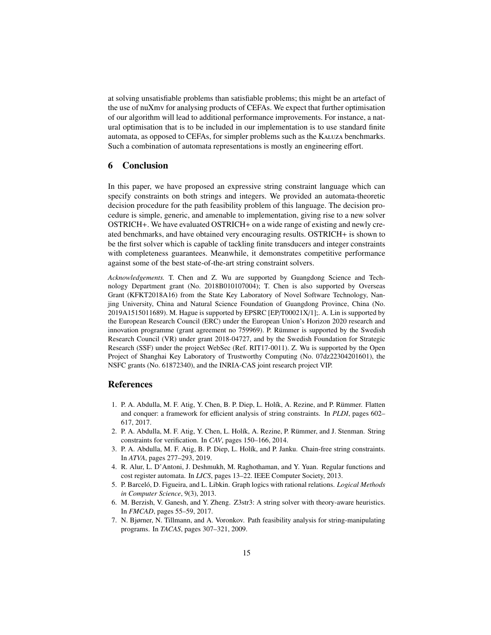at solving unsatisfiable problems than satisfiable problems; this might be an artefact of the use of nuXmv for analysing products of CEFAs. We expect that further optimisation of our algorithm will lead to additional performance improvements. For instance, a natural optimisation that is to be included in our implementation is to use standard finite automata, as opposed to CEFAs, for simpler problems such as the Kaluza benchmarks. Such a combination of automata representations is mostly an engineering effort.

# 6 Conclusion

In this paper, we have proposed an expressive string constraint language which can specify constraints on both strings and integers. We provided an automata-theoretic decision procedure for the path feasibility problem of this language. The decision procedure is simple, generic, and amenable to implementation, giving rise to a new solver OSTRICH+. We have evaluated OSTRICH+ on a wide range of existing and newly created benchmarks, and have obtained very encouraging results. OSTRICH+ is shown to be the first solver which is capable of tackling finite transducers and integer constraints with completeness guarantees. Meanwhile, it demonstrates competitive performance against some of the best state-of-the-art string constraint solvers.

*Acknowledgements.* T. Chen and Z. Wu are supported by Guangdong Science and Technology Department grant (No. 2018B010107004); T. Chen is also supported by Overseas Grant (KFKT2018A16) from the State Key Laboratory of Novel Software Technology, Nanjing University, China and Natural Science Foundation of Guangdong Province, China (No. 2019A1515011689). M. Hague is supported by EPSRC [EP/T00021X/1];. A. Lin is supported by the European Research Council (ERC) under the European Union's Horizon 2020 research and innovation programme (grant agreement no 759969). P. Rümmer is supported by the Swedish Research Council (VR) under grant 2018-04727, and by the Swedish Foundation for Strategic Research (SSF) under the project WebSec (Ref. RIT17-0011). Z. Wu is supported by the Open Project of Shanghai Key Laboratory of Trustworthy Computing (No. 07dz22304201601), the NSFC grants (No. 61872340), and the INRIA-CAS joint research project VIP.

### References

- 1. P. A. Abdulla, M. F. Atig, Y. Chen, B. P. Diep, L. Holík, A. Rezine, and P. Rümmer. Flatten and conquer: a framework for efficient analysis of string constraints. In *PLDI*, pages 602– 617, 2017.
- 2. P. A. Abdulla, M. F. Atig, Y. Chen, L. Holík, A. Rezine, P. Rümmer, and J. Stenman. String constraints for verification. In *CAV*, pages 150–166, 2014.
- 3. P. A. Abdulla, M. F. Atig, B. P. Diep, L. Holík, and P. Janku. Chain-free string constraints. In *ATVA*, pages 277–293, 2019.
- 4. R. Alur, L. D'Antoni, J. Deshmukh, M. Raghothaman, and Y. Yuan. Regular functions and cost register automata. In *LICS*, pages 13–22. IEEE Computer Society, 2013.
- 5. P. Barcelo, D. Figueira, and L. Libkin. Graph logics with rational relations. ´ *Logical Methods in Computer Science*, 9(3), 2013.
- 6. M. Berzish, V. Ganesh, and Y. Zheng. Z3str3: A string solver with theory-aware heuristics. In *FMCAD*, pages 55–59, 2017.
- 7. N. Bjørner, N. Tillmann, and A. Voronkov. Path feasibility analysis for string-manipulating programs. In *TACAS*, pages 307–321, 2009.